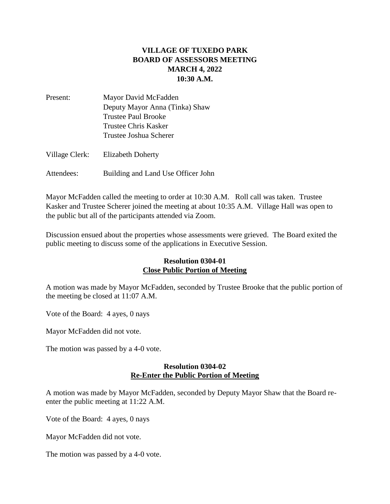## **VILLAGE OF TUXEDO PARK BOARD OF ASSESSORS MEETING MARCH 4, 2022 10:30 A.M.**

| Present:       | Mayor David McFadden           |
|----------------|--------------------------------|
|                | Deputy Mayor Anna (Tinka) Shaw |
|                | <b>Trustee Paul Brooke</b>     |
|                | Trustee Chris Kasker           |
|                | Trustee Joshua Scherer         |
| Village Clerk: | <b>Elizabeth Doherty</b>       |
|                |                                |

Attendees: Building and Land Use Officer John

Mayor McFadden called the meeting to order at 10:30 A.M. Roll call was taken. Trustee Kasker and Trustee Scherer joined the meeting at about 10:35 A.M. Village Hall was open to the public but all of the participants attended via Zoom.

Discussion ensued about the properties whose assessments were grieved. The Board exited the public meeting to discuss some of the applications in Executive Session.

## **Resolution 0304-01 Close Public Portion of Meeting**

A motion was made by Mayor McFadden, seconded by Trustee Brooke that the public portion of the meeting be closed at 11:07 A.M.

Vote of the Board: 4 ayes, 0 nays

Mayor McFadden did not vote.

The motion was passed by a 4-0 vote.

## **Resolution 0304-02 Re-Enter the Public Portion of Meeting**

A motion was made by Mayor McFadden, seconded by Deputy Mayor Shaw that the Board reenter the public meeting at 11:22 A.M.

Vote of the Board: 4 ayes, 0 nays

Mayor McFadden did not vote.

The motion was passed by a 4-0 vote.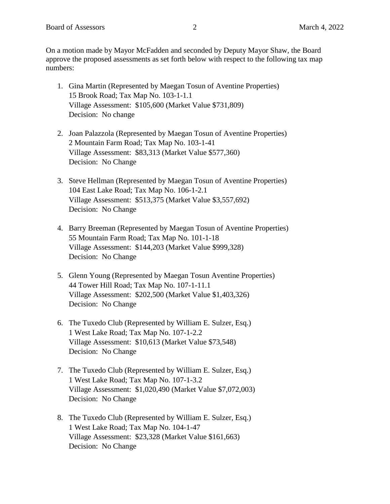On a motion made by Mayor McFadden and seconded by Deputy Mayor Shaw, the Board approve the proposed assessments as set forth below with respect to the following tax map numbers:

- 1. Gina Martin (Represented by Maegan Tosun of Aventine Properties) 15 Brook Road; Tax Map No. 103-1-1.1 Village Assessment: \$105,600 (Market Value \$731,809) Decision: No change
- 2. Joan Palazzola (Represented by Maegan Tosun of Aventine Properties) 2 Mountain Farm Road; Tax Map No. 103-1-41 Village Assessment: \$83,313 (Market Value \$577,360) Decision: No Change
- 3. Steve Hellman (Represented by Maegan Tosun of Aventine Properties) 104 East Lake Road; Tax Map No. 106-1-2.1 Village Assessment: \$513,375 (Market Value \$3,557,692) Decision: No Change
- 4. Barry Breeman (Represented by Maegan Tosun of Aventine Properties) 55 Mountain Farm Road; Tax Map No. 101-1-18 Village Assessment: \$144,203 (Market Value \$999,328) Decision: No Change
- 5. Glenn Young (Represented by Maegan Tosun Aventine Properties) 44 Tower Hill Road; Tax Map No. 107-1-11.1 Village Assessment: \$202,500 (Market Value \$1,403,326) Decision: No Change
- 6. The Tuxedo Club (Represented by William E. Sulzer, Esq.) 1 West Lake Road; Tax Map No. 107-1-2.2 Village Assessment: \$10,613 (Market Value \$73,548) Decision: No Change
- 7. The Tuxedo Club (Represented by William E. Sulzer, Esq.) 1 West Lake Road; Tax Map No. 107-1-3.2 Village Assessment: \$1,020,490 (Market Value \$7,072,003) Decision: No Change
- 8. The Tuxedo Club (Represented by William E. Sulzer, Esq.) 1 West Lake Road; Tax Map No. 104-1-47 Village Assessment: \$23,328 (Market Value \$161,663) Decision: No Change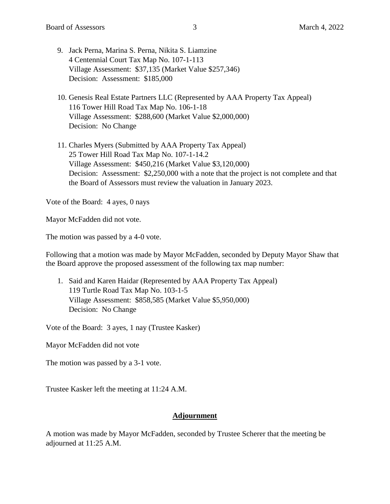- 9. Jack Perna, Marina S. Perna, Nikita S. Liamzine 4 Centennial Court Tax Map No. 107-1-113 Village Assessment: \$37,135 (Market Value \$257,346) Decision: Assessment: \$185,000
- 10. Genesis Real Estate Partners LLC (Represented by AAA Property Tax Appeal) 116 Tower Hill Road Tax Map No. 106-1-18 Village Assessment: \$288,600 (Market Value \$2,000,000) Decision: No Change
- 11. Charles Myers (Submitted by AAA Property Tax Appeal) 25 Tower Hill Road Tax Map No. 107-1-14.2 Village Assessment: \$450,216 (Market Value \$3,120,000) Decision: Assessment: \$2,250,000 with a note that the project is not complete and that the Board of Assessors must review the valuation in January 2023.

Vote of the Board: 4 ayes, 0 nays

Mayor McFadden did not vote.

The motion was passed by a 4-0 vote.

Following that a motion was made by Mayor McFadden, seconded by Deputy Mayor Shaw that the Board approve the proposed assessment of the following tax map number:

1. Said and Karen Haidar (Represented by AAA Property Tax Appeal) 119 Turtle Road Tax Map No. 103-1-5 Village Assessment: \$858,585 (Market Value \$5,950,000) Decision: No Change

Vote of the Board: 3 ayes, 1 nay (Trustee Kasker)

Mayor McFadden did not vote

The motion was passed by a 3-1 vote.

Trustee Kasker left the meeting at 11:24 A.M.

## **Adjournment**

A motion was made by Mayor McFadden, seconded by Trustee Scherer that the meeting be adjourned at 11:25 A.M.